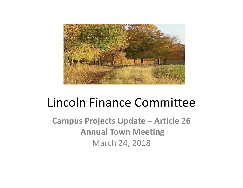

# Lincoln Finance Committee

**Campus Projects Update – Article 26 Annual Town Meeting** March 24, 2018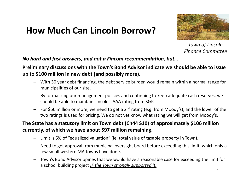# **How Much Can Lincoln Borrow?**



*Town of Lincoln Finance Committee*

*No hard and fast answers, and not a Fincom recommendation, but…*

**Preliminary discussions with the Town's Bond Advisor indicate we should be able to issue up to \$100 million in new debt (and possibly more).**

- With 30 year debt financing, the debt service burden would remain within a normal range for municipalities of our size.
- By formalizing our management policies and continuing to keep adequate cash reserves, we should be able to maintain Lincoln's AAA rating from S&P.
- $-$  For \$50 million or more, we need to get a 2<sup>nd</sup> rating (e.g. from Moody's), and the lower of the two ratings is used for pricing. We do not yet know what rating we will get from Moody's.

#### **The State has a statutory limit on Town debt (Ch44 S10) of approximately \$106 million currently, of which we have about \$97 million remaining.**

- Limit is 5% of "equalized valuation" (ie. total value of taxable property in Town).
- Need to get approval from municipal oversight board before exceeding this limit, which only a few small western MA towns have done.
- Town's Bond Advisor opines that we would have a reasonable case for exceeding the limit for a school building project *IF the Town strongly supported it.*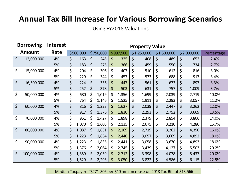# **Annual Tax Bill Increase for Various Borrowing Scenarios**

Using FY2018 Valuations

 $\mathbf{I}$ 

| <b>Borrowing</b> |             | <b>Interest</b> | <b>Property Value</b> |       |             |       |           |       |             |       |             |       |             |       |            |  |
|------------------|-------------|-----------------|-----------------------|-------|-------------|-------|-----------|-------|-------------|-------|-------------|-------|-------------|-------|------------|--|
| <b>Amount</b>    |             | Rate            | \$500,000             |       | \$750,000   |       | \$997,500 |       | \$1,250,000 |       | \$1,500,000 |       | \$2,000,000 |       | Percentage |  |
| $\varsigma$      | 12,000,000  | 4%              | \$                    | 163   | $\varsigma$ | 245   | \$        | 325   | $\varsigma$ | 408   | \$          | 489   | \$          | 652   | 2.4%       |  |
|                  |             | 5%              | \$                    | 183   | \$          | 275   | \$        | 366   | \$          | 459   | \$          | 550   | \$          | 734   | 2.7%       |  |
| \$               | 15,000,000  | 4%              | \$                    | 204   | $\zeta$     | 306   | \$        | 407   | \$          | 510   | \$          | 612   | \$          | 816   | 3.0%       |  |
|                  |             | 5%              | \$                    | 229   | \$          | 344   | \$        | 457   | \$          | 573   | \$          | 688   | \$          | 917   | 3.4%       |  |
| $\varsigma$      | 16,500,000  | 4%              | \$                    | 224   | \$          | 336   | \$        | 447   | $\varsigma$ | 561   | \$          | 673   | \$          | 897   | 3.3%       |  |
|                  |             | 5%              | \$                    | 252   | \$          | 378   | \$        | 503   | \$          | 631   | \$          | 757   | \$          | 1,009 | 3.7%       |  |
| \$               | 50,000,000  | 4%              | \$                    | 680   | \$          | 1,019 | \$        | 1,356 | \$          | 1,699 | \$          | 2,039 | \$          | 2,719 | 10.0%      |  |
|                  |             | 5%              | \$                    | 764   | \$          | 1,146 | \$        | 1,525 | \$          | 1,911 | \$          | 2,293 | \$          | 3,057 | 11.2%      |  |
| \$               | 60,000,000  | 4%              | \$                    | 816   | \$          | 1,223 | \$        | 1,627 | \$          | 2,039 | \$          | 2,447 | \$          | 3,262 | 12.0%      |  |
|                  |             | 5%              | \$                    | 917   | \$          | 1,376 | \$        | 1,830 | \$          | 2,293 | \$          | 2,752 | \$          | 3,669 | 13.5%      |  |
| \$               | 70,000,000  | 4%              | \$                    | 951   | \$          | 1,427 | \$        | 1,898 | \$          | 2,379 | \$          | 2,854 | \$          | 3,806 | 14.0%      |  |
|                  |             | 5%              | \$                    | 1,070 | \$          | 1,605 | \$        | 2,135 | \$          | 2,675 | \$          | 3,210 | \$          | 4,280 | 15.7%      |  |
| \$               | 80,000,000  | 4%              | \$                    | 1,087 | \$          | 1,631 | \$        | 2,169 | $\varsigma$ | 2,719 | \$          | 3,262 | \$          | 4,350 | 16.0%      |  |
|                  |             | 5%              | \$                    | 1,223 | \$          | 1,834 | \$        | 2,440 | \$          | 3,057 | \$          | 3,669 | \$          | 4,892 | 18.0%      |  |
| \$               | 90,000,000  | 4%              | \$                    | 1,223 | \$          | 1,835 | \$        | 2,441 | \$          | 3,058 | \$          | 3,670 | \$          | 4,893 | 18.0%      |  |
|                  |             | 5%              | \$                    | 1,376 | \$          | 2,064 | \$        | 2,745 | \$          | 3,439 | \$          | 4,127 | \$          | 5,503 | 20.2%      |  |
| $\zeta$          | 100,000,000 | 4%              | \$                    | 1,359 | \$          | 2,039 | \$        | 2,712 | \$          | 3,398 | \$          | 4,078 | \$          | 5,437 | 20.0%      |  |
|                  |             | 5%              | \$                    | 1,529 | \$          | 2,293 | \$        | 3,050 | \$          | 3,822 | \$          | 4,586 | \$          | 6,115 | 22.5%      |  |

Median Taxpayer: ~\$271‐305 per \$10 mm increase on 2018 Tax Bill of \$13,566

3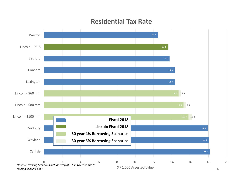#### **Residential Tax Rate**

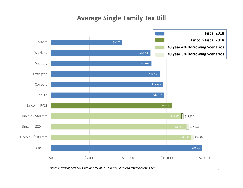### **Average Single Family Tax Bill**



*Note: Borrowing Scenarios include drop of \$567 in Tax Bill due to retiring existing debt* <sup>5</sup>